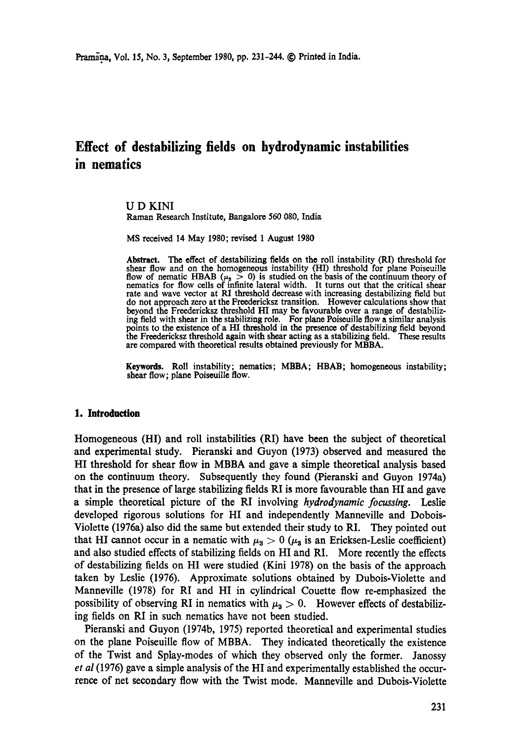# **Effect of destabilizing fields on hydrodynamic instabilities in nematics**

## U D KINI

Raman Research Institute, Bangalore 560 080, India

MS received 14 May 1980; revised 1 August 1980

**Abstract.** The effect of destabilizing fields on the roll instability (RI) threshold for shear flow and on the homogeneous instability (HI) threshold for plane Poiseuille flow of nematic HBAB ( $\mu_s > 0$ ) is studied on the basis of the continuum theory of nematics for flow cells of infinite lateral width. It turns out that the critical shear rate and wave vector at RI threshold decrease with increasing destabilizing field but do not approach zero at the Freedericksz transition. However calculations show that beyond the Freedericksz threshold HI may be favourable over a range of destabilizing field with shear in the stabilizing role. For plane Poiseuille flow a similar analysis points to the existence of a HI threshold in the presence of destabilizing field beyond the Freedericksz threshold again with shear acting as a stabilizing field. These results are compared with theoretical results obtained previously for MBBA.

Keywords. Roll instability; nematics; MBBA; HBAB; homogeneous instability; shear flow; plane Poiseuille flow.

## **1. Introduction**

Homogeneous (HI) and roll instabilities (RI) have been the subject of theoretical and experimental study. Pieranski and Guyon (1973) observed and measured the HI threshold for shear flow in MBBA and gave a simple theoretical analysis based on the continuum theory. Subsequently they found (Pieranski and Guyon 1974a) that in the presence of large stabilizing fields RI is more favourable than HI and gave a simple theoretical picture of the RI involving *hydrodynamic focussing.* Leslie developed rigorous solutions for HI and independently Manneville and Dobois-Violette (1976a) also did the same but extended their study to RI. They pointed out that HI cannot occur in a nematic with  $\mu_3 > 0$  ( $\mu_3$  is an Ericksen-Leslie coefficient) and also studied effects of stabilizing fields on HI and RI. More recently the effects of destabilizing fields on HI were studied (Kini 1978) on the basis of the approach taken by Leslie (1976). Approximate solutions obtained by Dubois-Violette and Manneville (1978) for RI and HI in cylindrical Couette flow re-emphasized the possibility of observing RI in nematics with  $\mu_3 > 0$ . However effects of destabilizing fields on RI in such nematics have not been studied.

Pieranski and Guyon (1974b, 1975) reported theoretical and experimental studies on the plane Poiseuille flow of MBBA. They indicated theoretically the existence of the Twist and Splay-modes of which they observed only the former. Janossy *et al* (1976) gave a simple analysis of the HI and experimentally established the occurfence of net secondary flow with the Twist mode. Manneville and Dubois-Violette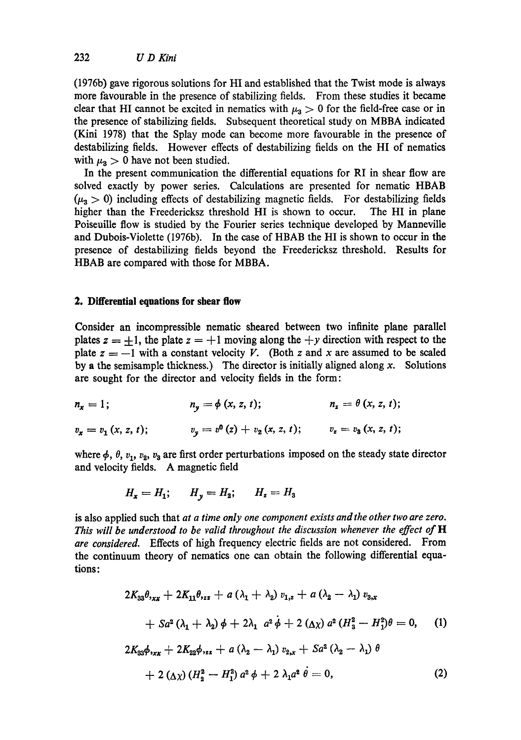(1976b) gave rigorous solutions for HI and established that the Twist mode is always more favourable in the presence of stabilizing fields. From these studies it became clear that HI cannot be excited in nematics with  $\mu_3 > 0$  for the field-free case or in the presence of stabilizing fields. Subsequent theoretical study on MBBA indicated (Kini 1978) that the Splay mode can become more favourable in the presence of destabilizing fields. However effects of destabilizing fields on the HI of nematics with  $\mu_3 > 0$  have not been studied.

In the present communication the differential equations for RI in shear flow are solved exactly by power series. Calculations are presented for nematic HBAB  $(\mu_3 > 0)$  including effects of destabilizing magnetic fields. For destabilizing fields higher than the Freedericksz threshold HI is shown to occur. The HI in plane Poiseuille flow is studied by the Fourier series technique developed by Manneville and Dubois-Violette (1976b). In the case of HBAB the HI is shown to occur in the presence of destabilizing fields beyond the Freedericksz threshold. Results for HBAB are compared with those for MBBA.

## **2. Differential equations for shear flow**

Consider an incompressible nematic sheared between two infinite plane parallel plates  $z = +1$ , the plate  $z = +1$  moving along the  $+y$  direction with respect to the plate  $z = -1$  with a constant velocity V. (Both z and x are assumed to be scaled by a the semisample thickness.) The director is initially aligned along  $x$ . Solutions are sought for the director and velocity fields in the form:

$$
n_x = 1;
$$
  $n_y = \phi(x, z, t);$   $n_z = \theta(x, z, t);$ 

$$
v_x = v_1(x, z, t); \qquad v_y = v^0(z) + v_2(x, z, t); \qquad v_z = v_3(x, z, t);
$$

where  $\phi$ ,  $\theta$ ,  $v_1$ ,  $v_2$ ,  $v_3$  are first order perturbations imposed on the steady state director and velocity fields. A magnetic field

$$
H_x = H_1; \qquad H_y = H_2; \qquad H_z = H_3
$$

is also applied such that *at a time only one component exists and the other two are zero. This will be understood to be valid throughout the discussion whenever the effect of H are considered.* Effects of high frequency electric fields are not considered. From the continuum theory of nematies one can obtain the following differential equations:

$$
2K_{33}\theta_{xxx} + 2K_{11}\theta_{zz} + a(\lambda_1 + \lambda_2) v_{1,z} + a(\lambda_2 - \lambda_1) v_{3,x} + Sa^2(\lambda_1 + \lambda_2) \phi + 2\lambda_1 a^2 \dot{\phi} + 2(\Delta \chi) a^2 (H_3^2 - H_1^2)\theta = 0,
$$
 (1)  

$$
2K_{33}\phi_{xxx} + 2K_{22}\phi_{,xx} + a(\lambda_2 - \lambda_1) v_{2,x} + Sa^2(\lambda_2 - \lambda_1) \theta + 2(\Delta \chi) (H_2^2 - H_1^2) a^2 \phi + 2 \lambda_1 a^2 \dot{\theta} = 0,
$$
 (2)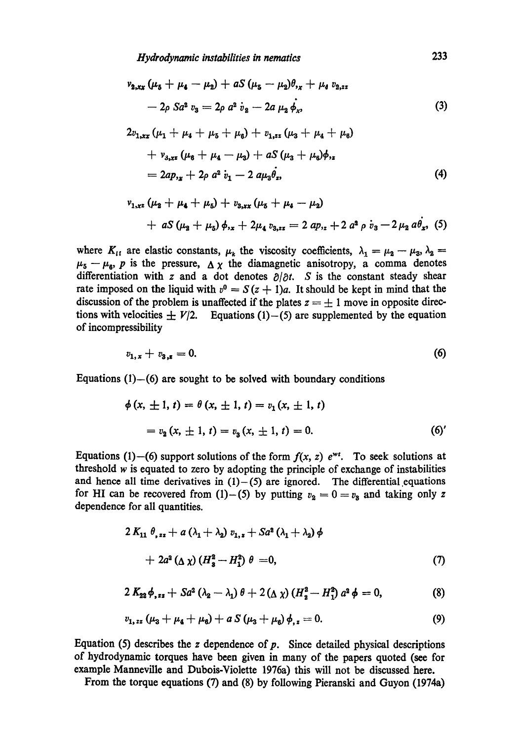$$
\nu_{2,xx}(\mu_{\delta} + \mu_{4} - \mu_{2}) + aS(\mu_{\delta} - \mu_{2})\theta_{,x} + \mu_{d} v_{2,zz}
$$
  
- 2\rho Sa<sup>2</sup> v<sub>3</sub> = 2\rho a<sup>2</sup> v<sub>2</sub> - 2a \mu\_{2} \dot{\phi}\_{,x},  
2v\_{1,xx}(\mu\_{1} + \mu\_{4} + \mu\_{5} + \mu\_{6}) + v\_{1,zz}(\mu\_{3} + \mu\_{4} + \mu\_{6}) (3)

+ 
$$
v_{3,xz}
$$
 ( $\mu_6 + \mu_4 - \mu_3$ ) +  $aS$  ( $\mu_3 + \mu_6$ ) $\phi_{,z}$   
=  $2ap_{,x} + 2\rho a^2 \dot{v}_1 - 2 a\mu_3 \dot{\theta}_z$ , (4)

$$
v_{1,xz} \left(\mu_2 + \mu_4 + \mu_5\right) + v_{3,xx} \left(\mu_5 + \mu_4 - \mu_2\right) + aS \left(\mu_3 + \mu_5\right) \phi_{1x} + 2\mu_4 v_{3,zz} = 2 ap_{1z} + 2 a^2 \rho \dot{v}_3 - 2 \mu_2 a \dot{\theta}_x,
$$
 (5)

where  $K_{ii}$  are elastic constants,  $\mu_k$  the viscosity coefficients,  $\lambda_1 = \mu_2 - \mu_3$ ,  $\lambda_2 =$  $\mu_5 - \mu_6$ , p is the pressure,  $\Delta \chi$  the diamagnetic anisotropy, a comma denotes differentiation with z and a dot denotes  $\partial/\partial t$ . S is the constant steady shear rate imposed on the liquid with  $v^0 = S (z + 1)a$ . It should be kept in mind that the discussion of the problem is unaffected if the plates  $z = \pm 1$  move in opposite directions with velocities  $+ V/2$ . Equations (1)-(5) are supplemented by the equation of incompressibility

$$
v_{1,x} + v_{3,x} = 0. \tag{6}
$$

Equations  $(1)$ - $(6)$  are sought to be solved with boundary conditions

$$
\phi(x, \pm 1, t) = \theta(x, \pm 1, t) = v_1(x, \pm 1, t)
$$

$$
= v_2(x, \pm 1, t) = v_3(x, \pm 1, t) = 0.
$$
 (6)

Equations (1)--(6) support solutions of the form  $f(x, z) e^{wt}$ . To seek solutions at threshold  $w$  is equated to zero by adopting the principle of exchange of instabilities and hence all time derivatives in  $(1) - (5)$  are ignored. The differential equations for HI can be recovered from (1)-(5) by putting  $v_2 = 0 = v_3$  and taking only z dependence for all quantities.

$$
2 K_{11} \theta_{,zz} + a (\lambda_1 + \lambda_2) v_{1,z} + S a^2 (\lambda_1 + \lambda_2) \phi
$$
  
+ 
$$
2 a^2 (\Delta \chi) (H_3^2 - H_1^2) \theta = 0,
$$
 (7)

$$
2 K_{22} \phi_{,zz} + S a^2 (\lambda_2 - \lambda_1) \theta + 2 (\Delta \chi) (H_2^2 - H_1^2) a^2 \phi = 0, \qquad (8)
$$

$$
v_{1,zz} (\mu_3 + \mu_4 + \mu_6) + a S (\mu_3 + \mu_6) \phi_{,z} = 0. \tag{9}
$$

Equation (5) describes the  $z$  dependence of  $p$ . Since detailed physical descriptions of hydrodynamic torques have been given in many of the papers quoted (see for example Manneville and Dubois-Violette 1976a) this will not be discussed here.

From the torque equations (7) and (8) by following Pieranski and Guyon (1974a)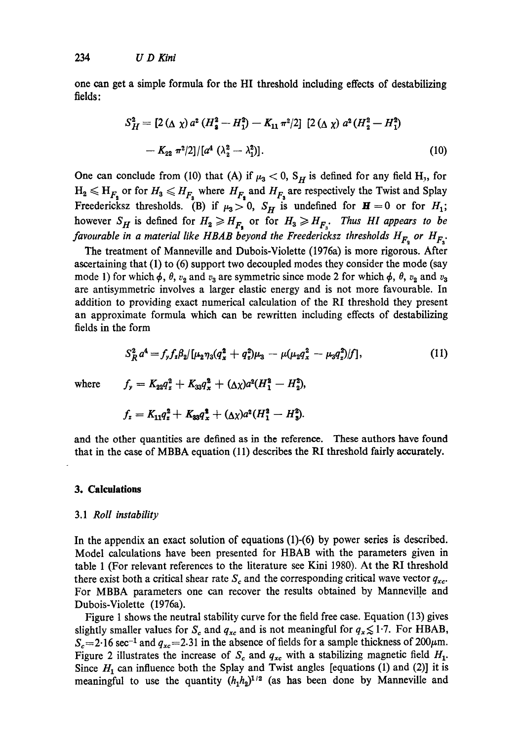one can get a simple formula for the HI threshold including effects of destabilizing fields:

$$
S_H^2 = [2(\Delta \chi) a^2 (H_2^2 - H_1^2) - K_{11} \pi^2 / 2] [2(\Delta \chi) a^2 (H_2^2 - H_1^2) - K_{22} \pi^2 / 2] / [a^4 (\lambda_2^2 - \lambda_1^2)].
$$
\n(10)

One can conclude from (10) that (A) if  $\mu_3 < 0$ , S<sub>H</sub> is defined for any field H<sub>1</sub>, for  $H_2 \leq H_{F_2}$  or for  $H_3 \leq H_{F_3}$  where  $H_{F_3}$  and  $H_{F_3}$  are respectively the Twist and Splay Freedericksz thresholds. (B) if  $\mu_3 > 0$ ,  $S_H$  is undefined for  $H = 0$  or for  $H_1$ ; however  $S_H$  is defined for  $H_2 \geqslant H_F$  or for  $H_3 \geqslant H_F$ . Thus HI appears to be *favourable in a material like HBAB beyond the Freedericksz thresholds*  $H_{F_n}$  *or*  $H_{F_n}$ *.* 

The treatment of Manneville and Dubois-Violette (1976a) is more rigorous. After ascertaining that (1) to (6) support two decoupled modes they consider the mode (say mode 1) for which  $\phi$ ,  $\theta$ ,  $v_2$  and  $v_3$  are symmetric since mode 2 for which  $\phi$ ,  $\theta$ ,  $v_2$  and  $v_3$ are antisymmetric involves a larger elastic energy and is not more favourable. In addition to providing exact numerical calculation of the RI threshold they present an approximate formula which can be rewritten including effects of destabilizing fields in the form

$$
S_R^2 a^4 = f_y f_z \beta_2 / [\mu_2 \eta_3 (q_x^2 + q_z^2) \mu_3 - \mu (\mu_2 q_x^2 - \mu_3 q_z^2) / f], \qquad (11)
$$

where 
$$
f_y = K_{22}q_x^2 + K_{33}q_x^2 + (\Delta \chi)a^2(H_1^2 - H_2^2),
$$

$$
f_{z}=K_{11}q_{z}^{2}+K_{33}q_{x}^{2}+(\Delta \chi)a^{2}(H_{1}^{2}-H_{3}^{2}).
$$

and the other quantities are defined as in the reference. These authors have found that in the case of MBBA equation (11) describes the RI threshold fairly accurately.

## **3. Calculations**

## 3.1 *Roll instability*

In the appendix an exact solution of equations (1)-(6) by power series is described. Model calculations have been presented for HBAB with the parameters given in table 1 (For relevant references to the literature see Kini 1980). At the RI threshold there exist both a critical shear rate  $S_c$  and the corresponding critical wave vector  $q_{xc}$ . For MBBA parameters one can recover the results obtained by Manneville and Dubois-Violette (1976a).

Figure 1 shows the neutral stability curve for the field free case. Equation (13) gives slightly smaller values for  $S_c$  and  $q_{xc}$  and is not meaningful for  $q_x \leq 1.7$ . For HBAB,  $S_c=2.16$  sec<sup>-1</sup> and  $q_{xc}=2.31$  in the absence of fields for a sample thickness of 200 $\mu$ m. Figure 2 illustrates the increase of  $S_c$  and  $q_{xc}$  with a stabilizing magnetic field  $H_1$ . Since  $H_1$  can influence both the Splay and Twist angles [equations (1) and (2)] it is meaningful to use the quantity  $(h_1h_2)^{1/2}$  (as has been done by Manneville and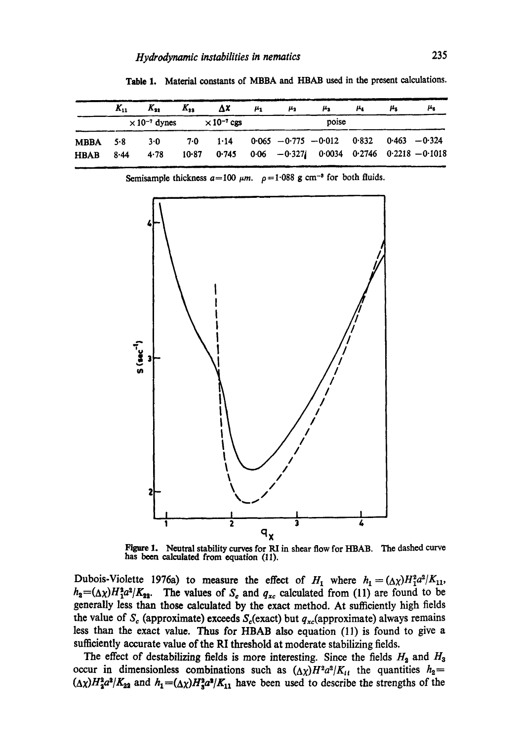H i

|             | $K_{11}$                        | $K_{22}$ | $K_{ss}$ | ΔX                                                  | $\mu_{1}$ | μ,    | μ,                                                           | μ. | ŀ۶ | هبر |
|-------------|---------------------------------|----------|----------|-----------------------------------------------------|-----------|-------|--------------------------------------------------------------|----|----|-----|
|             | $\times$ 10 <sup>-7</sup> dynes |          |          | $\times 10^{-7}$ cgs                                |           | poise |                                                              |    |    |     |
| <b>MBBA</b> | 5.8                             | 3.0      | 7.0      | $1.14$ 0.065 $-0.775$ $-0.012$ 0.832 0.463 $-0.324$ |           |       |                                                              |    |    |     |
| <b>HBAB</b> | 8.44                            | 4.78     | $10-87$  |                                                     |           |       | $0.745$ $0.06$ $-0.327$ $0.0034$ $0.2746$ $0.2218$ $-0.1018$ |    |    |     |

Table 1. Material constants of MBBA and HBAB used in the present calculations.

Semisample thickness  $a=100 \mu m$ .  $\rho=1.088$  g cm<sup>-3</sup> for both fluids.



Figure 1. Neutral stability curves for RI in shear flow for HBAB. The dashed curve has been calculated from equation (11).

Dubois-Violette 1976a) to measure the effect of  $H_1$  where  $h_1 = (\Delta \chi) H_1^2 a^2 / K_{11}$ ,  $h_2=(\Delta\chi)H_1^2a^2/K_{22}$ . The values of S<sub>c</sub> and  $q_{xc}$  calculated from (11) are found to be generally less than those calculated by the exact method. At sufficiently high fields the value of  $S_c$  (approximate) exceeds  $S_c$  (exact) but  $q_{xc}$  (approximate) always remains less than the exact value. Thus for HBAB also equation (11) is found to give a sufficiently accurate value of the RI threshold at moderate stabilizing fields.

The effect of destabilizing fields is more interesting. Since the fields  $H_2$  and  $H_3$ occur in dimensionless combinations such as  $(\Lambda \chi)H^2a^2/K_{ii}$  the quantities  $h_2=$  $(\Delta \chi)H_2^2 a^2/K_{22}$  and  $h_1 = (\Delta \chi)H_3^2 a^2/K_{11}$  have been used to describe the strengths of the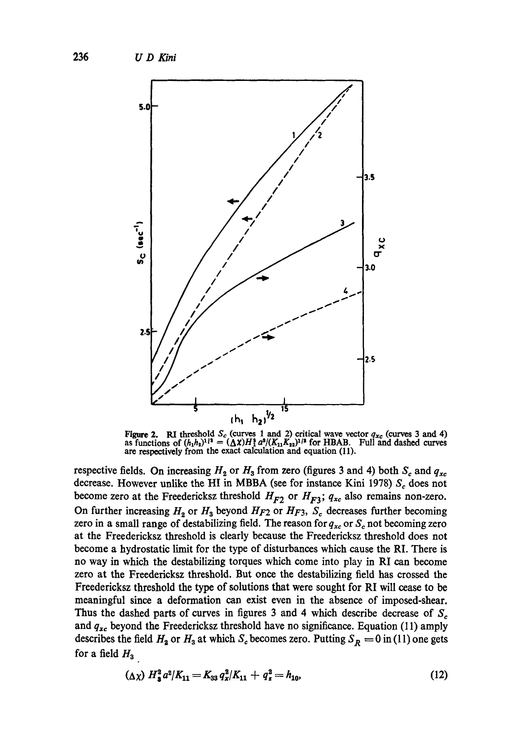

**Figure 2.** RI threshold  $S_c$  (curves 1 and 2) critical wave vector  $q_{xc}$  (curves 3 and 4) as functions of  $(h_1h_2)^{1/3} = (\Delta x)H_1^* a^2/(K_{11}K_{22})^{1/3}$  for HBAB. Full and dashed curves are respectively from the exact calculation and equation (11).

respective fields. On increasing  $H_2$  or  $H_3$  from zero (figures 3 and 4) both  $S_c$  and  $q_{xc}$ decrease. However unlike the HI in MBBA (see for instance Kini 1978)  $S_c$  does not become zero at the Freedericksz threshold  $H_{F2}$  or  $H_{F3}$ ;  $q_{xc}$  also remains non-zero. On further increasing  $H_2$  or  $H_3$  beyond  $H_{F2}$  or  $H_{F3}$ ,  $S_c$  decreases further becoming zero in a small range of destabilizing field. The reason for  $q_{xc}$  or  $S_c$  not becoming zero at the Freedericksz threshold is clearly because the Freedericksz threshold does not become a hydrostatic limit for the type of disturbances which cause the RI. There is no way in which the destabilizing torques which come into play in RI can become zero at the Freedericksz threshold. But once the destabilizing field has crossed the Freedericksz threshold the type of solutions that were sought for RI will cease to be meaningful since a deformation can exist even in the absence of imposed-shear. Thus the dashed parts of curves in figures 3 and 4 which describe decrease of  $S_c$ and  $q_{xc}$  beyond the Freedericksz threshold have no significance. Equation (11) amply describes the field  $H_2$  or  $H_3$  at which  $S_c$  becomes zero. Putting  $S_R = 0$  in (11) one gets for a field  $H_3$ 

$$
(\Delta \chi) H_3^2 a^2 / K_{11} = K_{33} q_x^2 / K_{11} + q_x^2 = h_{10}, \qquad (12)
$$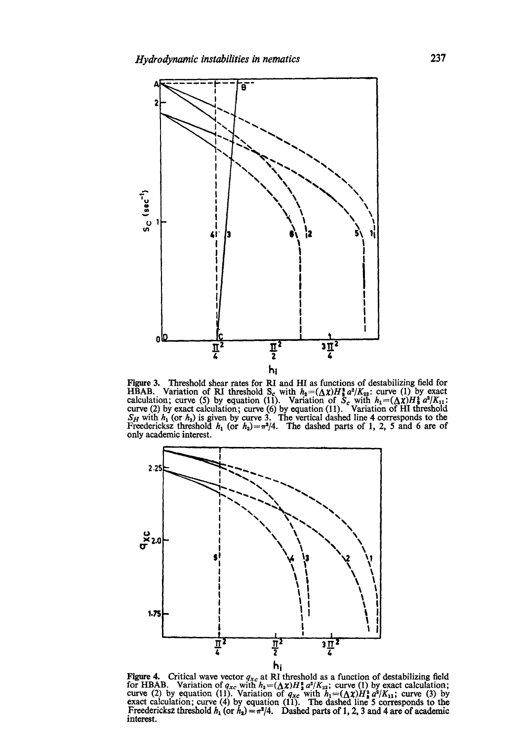

Figure 3. Threshold shear rates for RI and HI as functions of destabilizing field for HBAB. Variation of RI threshold S<sub>c</sub> with  $h_2 = (\Delta \chi)H_2^2 a^2/K_{22}$ : curve (1) by exact calculation; curve (5) by equation (11). Variation of  $S_c$  with  $h_1 = (\Delta \chi)H_3^2 a^2/K_{11}$ . curve (2) by exact calculation; curve (6) by equation (11). Variation of HI threshold  $S_H$  with  $h_1$  (or  $h_2$ ) is given by curve 3. The vertical dashed line 4 corresponds to the Freedericksz threshold  $h_1$  (or  $h_2 = \pi^2/4$ . The dashed parts of 1, 2, 5 and 6 are of only academic interest.



Figure 4. Critical wave vector  $q_{xc}$  at RI threshold as a function of destabilizing field for HBAB. Variation of  $q_{xc}$  with  $h_2 = (\Delta x)H_a^2 a^2/K_{22}$ ; curve (1) by exact calculation; curve (2) by equation (11). Variation of  $q_{xc}$  with  $h_1 = (\Delta \chi)H_a^2 a^2/K_{11}$ ; curve (3) by exact calculation; curve (4) by equation (11). The dashed line 5 corresponds to the Freedericksz threshold  $h_1$  (or  $h_2$ ) = $\pi^2/4$ . Dashed parts of 1, 2, 3 and 4 are of academic interest.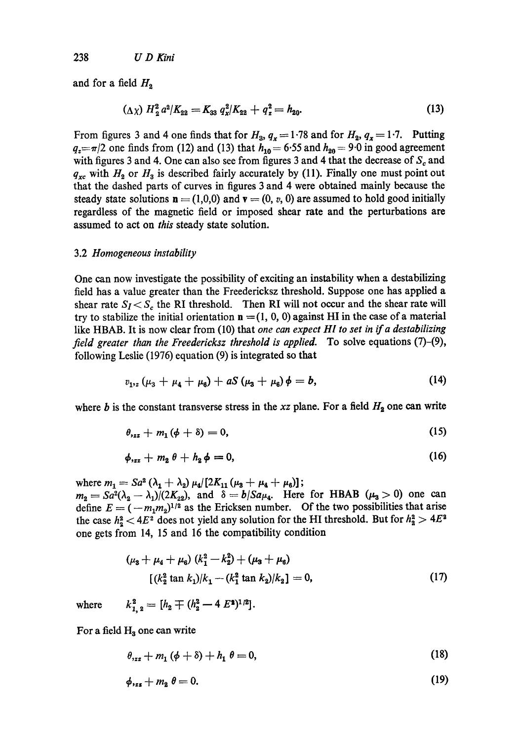and for a field  $H_2$ 

$$
(\Delta \chi) H_2^2 a^2 / K_{22} = K_{33} q_x^2 / K_{22} + q_z^2 = h_{20}.
$$
 (13)

From figures 3 and 4 one finds that for  $H_3$ ,  $q_x = 1.78$  and for  $H_2$ ,  $q_x = 1.7$ . Putting  $q_z = \pi/2$  one finds from (12) and (13) that  $h_{10} = 6.55$  and  $h_{20} = 9.0$  in good agreement with figures 3 and 4. One can also see from figures 3 and 4 that the decrease of  $S_c$  and  $q_{xc}$  with  $H_2$  or  $H_3$  is described fairly accurately by (11). Finally one must point out that the dashed parts of curves in figures 3 and 4 were obtained mainly because the steady state solutions  $\mathbf{n} = (1,0,0)$  and  $\mathbf{v} = (0, v, 0)$  are assumed to hold good initially regardless of the magnetic field or imposed shear rate and the perturbations are assumed to act on *this* steady state solution.

#### 3.2 *Homogeneous instability*

One can now investigate the possibility of exciting an instability when a destabilizing field has a value greater than the Freedericksz threshold. Suppose one has applied a shear rate  $S_I < S_c$  the RI threshold. Then RI will not occur and the shear rate will try to stabilize the initial orientation  $n = (1, 0, 0)$  against HI in the case of a material like HBAB. It is now clear from (10) that *one can expect HI to set in if a destabilizing field greater than the Freedericksz threshold is applied.* To solve equations (7)-(9), following Leslie (1976) equation (9) is integrated so that

$$
v_{1,2} \left( \mu_3 + \mu_4 + \mu_6 \right) + a S \left( \mu_3 + \mu_6 \right) \phi = b, \tag{14}
$$

where b is the constant transverse stress in the  $xz$  plane. For a field  $H_2$  one can write

$$
\theta_{\text{zz}} + m_1(\phi + \delta) = 0, \tag{15}
$$

$$
\phi_{,zz} + m_2 \theta + h_2 \phi = 0, \qquad (16)
$$

where  $m_1 = Sa^2 (\lambda_1 + \lambda_2) \mu_4 / [2K_{11} (\mu_3 + \mu_4 + \mu_6)]$ ;  $m_2 = Sa^2(\lambda_2 - \lambda_1)/(2K_{22})$ , and  $\delta = b/Sa\mu_4$ . Here for HBAB ( $\mu_3 > 0$ ) one can define  $E = (-m_1m_2)^{1/2}$  as the Ericksen number. Of the two possibilities that arise the case  $h_2^2 < 4E^2$  does not yield any solution for the HI threshold. But for  $h_2^2 > 4E^2$ one gets from 14, 15 and 16 the compatibility condition

$$
(\mu_3 + \mu_4 + \mu_6) (k_1^2 - k_2^2) + (\mu_3 + \mu_6)
$$
  
 
$$
[(k_2^2 \tan k_1)/k_1 - (k_1^2 \tan k_2)/k_2] = 0,
$$
 (17)

where  $k_{1,2}^2 = [h_2 \mp (h_2^2 - 4 E^2)^{1/2}].$ 

For a field H<sub>3</sub> one can write

$$
\theta_{122} + m_1 (\phi + \delta) + h_1 \theta = 0, \qquad (18)
$$

$$
\phi_{\text{32}} + m_2 \theta = 0. \tag{19}
$$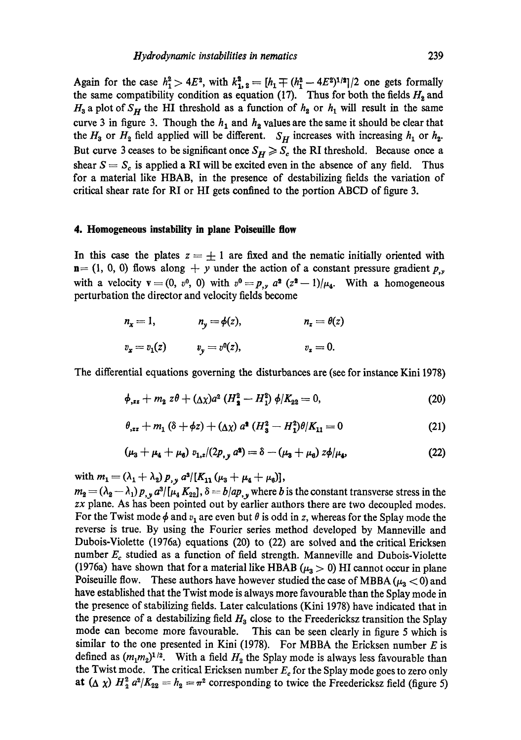Again for the case  $h_1^2 > 4E^2$ , with  $k_{1,2}^2 = [h_1 \pm (h_1^2 - 4E^2)^{1/2}]/2$  one gets formally the same compatibility condition as equation (17). Thus for both the fields  $H_2$  and  $H_3$  a plot of  $S_H$  the HI threshold as a function of  $h_2$  or  $h_1$  will result in the same curve 3 in figure 3. Though the  $h_1$  and  $h_2$  values are the same it should be clear that the  $H_3$  or  $H_2$  field applied will be different. *S<sub>H</sub>* increases with increasing  $h_1$  or  $h_2$ . But curve 3 ceases to be significant once  $S_H \ge S_c$  the RI threshold. Because once a shear  $S = S_c$  is applied a RI will be excited even in the absence of any field. Thus for a material like HBAB, in the presence of destabilizing fields the variation of critical shear rate for RI or HI gets confined to the portion ABCD of figure 3.

#### **4. Homogeneous instability in plane Poiseuille flow**

In this case the plates  $z = \pm 1$  are fixed and the nematic initially oriented with  $n=(1, 0, 0)$  flows along  $+ y$  under the action of a constant pressure gradient  $p_{y}$ with a velocity  $\mathbf{v} = (0, v^0, 0)$  with  $v^0 = p_{y} a^2 (z^2 - 1)/\mu_4$ . With a homogeneous perturbation the director and velocity fields become

$$
n_x = 1, \t n_y = \phi(z), \t n_z = \theta(z)
$$
  

$$
v_x = v_1(z) \t v_y = v^0(z), \t v_z = 0.
$$

The differential equations governing the disturbances are (see for instance Kini 1978)

$$
\phi_{,zz} + m_2 z \theta + (\Delta \chi) a^2 (H_2^2 - H_1^2) \phi / K_{22} = 0, \qquad (20)
$$

$$
\theta_{,zz} + m_1 (\delta + \phi z) + (\Delta \chi) a^2 (H_3^2 - H_1^2) \theta / K_{11} = 0
$$
 (21)

$$
(\mu_3 + \mu_4 + \mu_6) v_{1,z} / (2p_{,y} a^2) = \delta - (\mu_3 + \mu_6) z \phi / \mu_4,
$$
 (22)

with  $m_1 = (\lambda_1 + \lambda_2) p_{y} a^3 / [K_{11} (\mu_3 + \mu_4 + \mu_6)],$ 

 $m_2 = (\lambda_2 - \lambda_1) p_{,y} a^3/[\mu_4 K_{22}], \delta = b/ap_{,y}$  where b is the constant transverse stress in the *zx* plane. As has been pointed out by earlier authors there are two decoupled modes. For the Twist mode  $\phi$  and  $v_1$  are even but  $\theta$  is odd in z, whereas for the Splay mode the reverse is true. By using the Fourier series method developed by Manneville and Dubois-Violette (1976a) equations (20) to (22) are solved and the critical Ericksen number  $E_c$  studied as a function of field strength. Manneville and Dubois-Violette (1976a) have shown that for a material like HBAB ( $\mu$ <sub>3</sub>  $>$  0) HI cannot occur in plane Poiseuille flow. These authors have however studied the case of MBBA ( $\mu_3$  < 0) and have established that the Twist mode is always more favourable than the Splay mode in the presence of stabilizing fields. Later calculations (Kini 1978) have indicated that in the presence of a destabilizing field  $H_3$  close to the Freedericksz transition the Splay mode can become more favourable. This can be seen clearly in figure 5 which is similar to the one presented in Kini (1978). For MBBA the Ericksen number  $E$  is defined as  $(m_1m_2)^{1/2}$ . With a field  $H_2$  the Splay mode is always less favourable than the Twist mode. The critical Ericksen number  $E<sub>c</sub>$  for the Splay mode goes to zero only at  $(\Delta \chi) H_2^2 a^2/K_{22} = h_2 = \pi^2$  corresponding to twice the Freedericksz field (figure 5)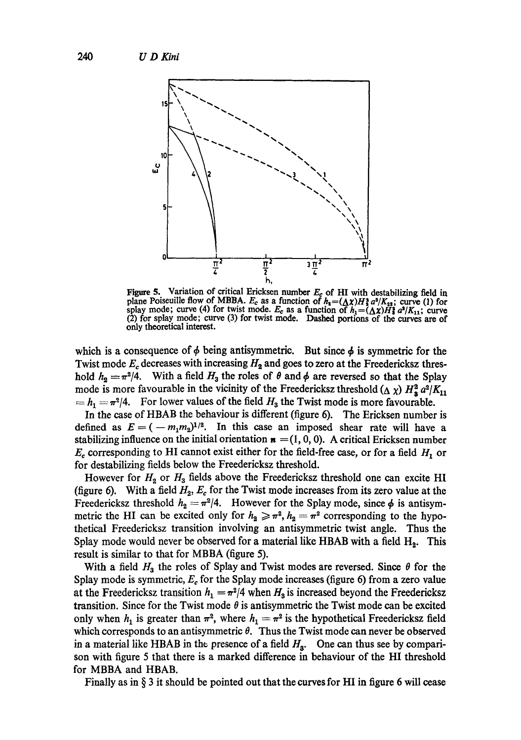

Figure 5. Variation of critical Ericksen number  $E_c$  of HI with destabilizing field in plane Poiseuille flow of MBBA.  $E_c$  as a function of  $h_3 = (\Delta \chi)H_3^* a^2/K_{23}$ ; curve (1) for splay mode; curve (4) for twist mode.  $E_c$  as a function of  $h_1 = (\Delta \chi)H_3^2 a^3/K_{11}$ ; curve (2) for splay mode; curve (3) for twist mode. Dashed portions of the curves are of only theoretical interest.

which is a consequence of  $\phi$  being antisymmetric. But since  $\phi$  is symmetric for the Twist mode  $E_c$  decreases with increasing  $H_2$  and goes to zero at the Freedericksz threshold  $h_2 = \pi^2/4$ . With a field  $H_3$  the roles of  $\theta$  and  $\phi$  are reversed so that the Splay mode is more favourable in the vicinity of the Freedericksz threshold ( $\Delta \chi$ )  $H_2^2 a^2/K_{11}$  $= h_1 = \pi^2/4$ . For lower values of the field  $H_3$  the Twist mode is more favourable.

In the case of HBAB the behaviour is different (figure 6). The Ericksen number is defined as  $E = (-m_1m_2)^{1/2}$ . In this case an imposed shear rate will have a stabilizing influence on the initial orientation  $\mathbf{n} = (1, 0, 0)$ . A critical Ericksen number  $E_c$  corresponding to HI cannot exist either for the field-free case, or for a field  $H_1$  or for destabilizing fields below the Freedericksz threshold.

However for  $H_2$  or  $H_3$  fields above the Freedericksz threshold one can excite HI (figure 6). With a field  $H_2$ ,  $E_c$  for the Twist mode increases from its zero value at the Freedericksz threshold  $h_2 = \pi^2/4$ . However for the Splay mode, since  $\phi$  is antisymmetric the HI can be excited only for  $h_2 \geq \pi^2$ ,  $h_2 = \pi^2$  corresponding to the hypothetical Freedericksz transition involving an antisymmetric twist angle. Thus the Splay mode would never be observed for a material like HBAB with a field  $H_2$ . This result is similar to that for MBBA (figure 5).

With a field  $H_3$  the roles of Splay and Twist modes are reversed. Since  $\theta$  for the Splay mode is symmetric,  $E_c$  for the Splay mode increases (figure 6) from a zero value at the Freedericksz transition  $h_1 = \pi^2/4$  when  $H_3$  is increased beyond the Freedericksz transition. Since for the Twist mode  $\theta$  is antisymmetric the Twist mode can be excited only when  $h_1$  is greater than  $\pi^2$ , where  $h_1 = \pi^2$  is the hypothetical Freedericksz field which corresponds to an antisymmetric  $\theta$ . Thus the Twist mode can never be observed in a material like HBAB in the presence of a field  $H_3$ . One can thus see by comparison with figure 5 that there is a marked difference in behaviour of the HI threshold for MBBA and HBAB.

Finally as in  $\S$  3 it should be pointed out that the curves for HI in figure 6 will cease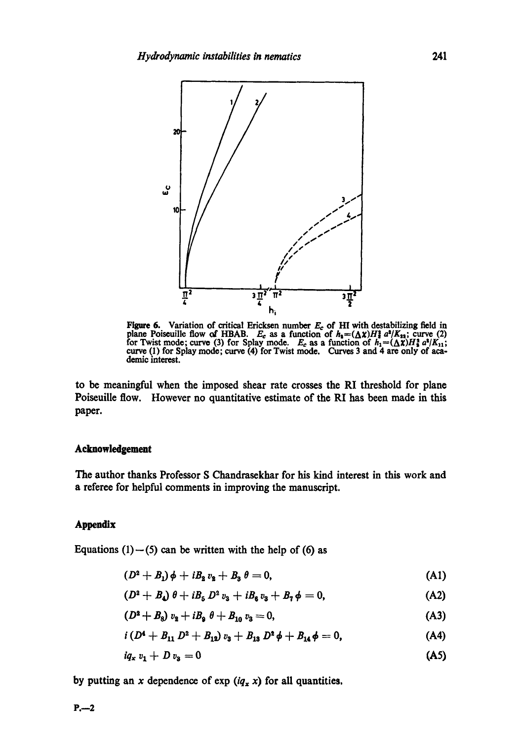

Figure 6. Variation of critical Ericksen number *E¢* of HI with destabilizing field in plane Poiseuille flow of HBAB.  $E_c$  as a function of  $h_1 = (\Delta x)H_1^2 a^2/K_{13}$ ; curve (2) for Twist mode; curve (3) for Splay mode.  $E_c$  as a function of  $h_1 = (\Delta x)H_1^2 a^4/K_{11}$ ; curve (I) for Splay mode; curve (4) for Twist mode. Curves 3 and 4 are only of academic interest.

to be meaningful when the imposed shear rate crosses the RI threshold for plane Poiseuille flow. However no quantitative estimate of the RI has been made in this paper.

### Acknowledgement

The author thanks Professor S Chandrasekhar for his kind interest in this work and a referee for helpful comments in improving the manuscript.

## **Appendix**

Equations  $(1)$  --(5) can be written with the help of (6) as

$$
(D^2 + B_1)\phi + iB_2 v_2 + B_3 \theta = 0, \tag{A1}
$$

$$
(D2 + B4) \theta + iB5 D2 v3 + iB6 v3 + B7 \phi = 0,
$$
 (A2)

$$
(D^2 + B_8) v_2 + iB_9 \theta + B_{10} v_3 = 0, \tag{A3}
$$

$$
i(D4 + B11 D2 + B12) v3 + B13 D2 \phi + B14 \phi = 0,
$$
 (A4)

$$
iq_x v_1 + D v_3 = 0 \tag{A5}
$$

by putting an x dependence of  $\exp(iq_x x)$  for all quantities.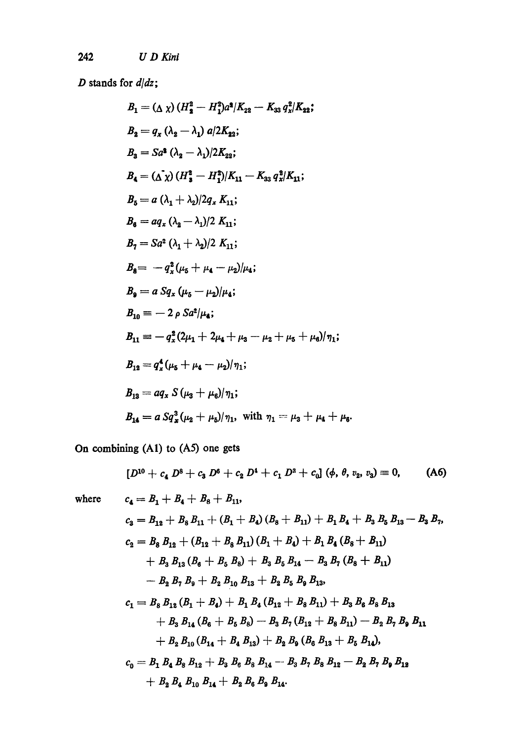D stands for *d/dz;* 

$$
B_1 = (\Delta \chi) (H_2^2 - H_1^2) a^2 / K_{22} - K_{33} q_x^2 / K_{22};
$$
  
\n
$$
B_2 = q_x (\lambda_2 - \lambda_1) a / 2K_{22};
$$
  
\n
$$
B_3 = Sa^2 (\lambda_2 - \lambda_1) / 2K_{22};
$$
  
\n
$$
B_4 = (\Delta \chi) (H_3^2 - H_1^2) / K_{11} - K_{33} q_x^2 / K_{11};
$$
  
\n
$$
B_5 = a (\lambda_1 + \lambda_2) / 2 q_x K_{11};
$$
  
\n
$$
B_6 = a q_x (\lambda_2 - \lambda_1) / 2 K_{11};
$$
  
\n
$$
B_7 = Sa^2 (\lambda_1 + \lambda_2) / 2 K_{11};
$$
  
\n
$$
B_8 = -q_x^2 (\mu_5 + \mu_4 - \mu_2) / \mu_4;
$$
  
\n
$$
B_9 = a Sq_x (\mu_5 - \mu_2) / \mu_4;
$$
  
\n
$$
B_{10} = -2 \rho Sa^2 / \mu_4;
$$
  
\n
$$
B_{11} = -q_x^2 (2\mu_1 + 2\mu_4 + \mu_3 - \mu_2 + \mu_5 + \mu_6) / \eta_1;
$$
  
\n
$$
B_{12} = q_x^4 (\mu_5 + \mu_4 - \mu_2) / \eta_1;
$$
  
\n
$$
B_{13} = a q_x S (\mu_3 + \mu_6) / \eta_1;
$$
  
\n
$$
B_{14} = a Sq_x^3 (\mu_2 + \mu_5) / \eta_1, \text{ with } \eta_1 = \mu_3 + \mu_4 + \mu_6.
$$

On combining (A1) to (A5) one gets

$$
[D^{10} + c_4 D^8 + c_3 D^6 + c_2 D^4 + c_1 D^2 + c_0] (\phi, \theta, v_2, v_3) \equiv 0,
$$
 (A6)

where

$$
c_4 = B_1 + B_4 + B_8 + B_{11},
$$
  
\n
$$
c_3 = B_{12} + B_8 B_{11} + (B_1 + B_4) (B_8 + B_{11}) + B_1 B_4 + B_3 B_5 B_{13} - B_3 B_7,
$$
  
\n
$$
c_2 = B_8 B_{12} + (B_{12} + B_8 B_{11}) (B_1 + B_4) + B_1 B_4 (B_8 + B_{11})
$$
  
\n
$$
+ B_3 B_{13} (B_8 + B_5 B_8) + B_3 B_5 B_{14} - B_3 B_7 (B_8 + B_{11})
$$
  
\n
$$
- B_2 B_7 B_9 + B_2 B_{10} B_{13} + B_2 B_5 B_9 B_{13},
$$
  
\n
$$
c_1 = B_8 B_{12} (B_1 + B_4) + B_1 B_4 (B_{12} + B_8 B_{11}) + B_3 B_6 B_8 B_{13}
$$
  
\n
$$
+ B_3 B_{14} (B_6 + B_5 B_8) - B_3 B_7 (B_{12} + B_8 B_{11}) - B_2 B_7 B_9 B_{11}
$$
  
\n
$$
+ B_2 B_{10} (B_{14} + B_4 B_{13}) + B_2 B_9 (B_6 B_{13} + B_5 B_{14}),
$$
  
\n
$$
c_0 = B_1 B_4 B_8 B_{12} + B_3 B_6 B_8 B_{14} - B_3 B_7 B_8 B_{12} - B_2 B_7 B_9 B_{12}
$$
  
\n
$$
+ B_2 B_4 B_{10} B_{14} + B_2 B_6 B_9 B_{14}.
$$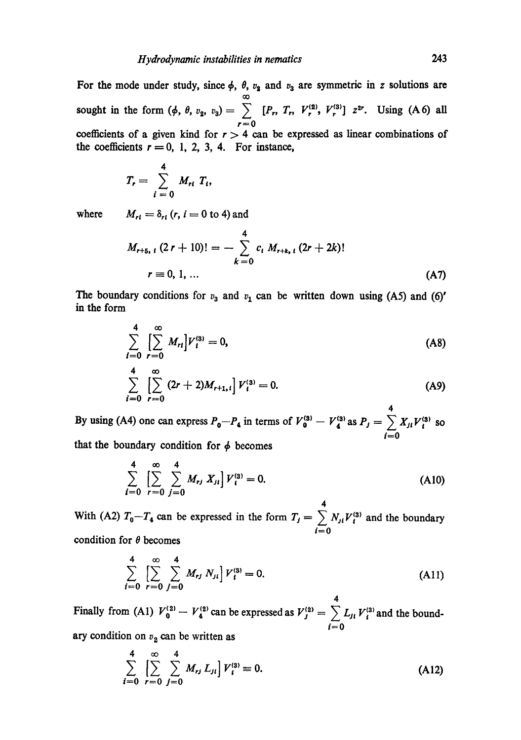For the mode under study, since  $\phi$ ,  $\theta$ ,  $v_2$  and  $v_3$  are symmetric in z solutions are oo sought in the form  $(\phi, \theta, v_2, v_3) = \sum_{r} [P_r, T_r, V_r^{(2)}, V_r^{(3)}]$   $z^{2r}$ . Using (A6) all  $r=0$ coefficients of a given kind for  $r > 4$  can be expressed as linear combinations of the coefficients  $r = 0, 1, 2, 3, 4$ . For instance,

$$
T_r = \sum_{i=0}^4 M_{ri} T_i,
$$

where  $M_{ri} = \delta_{ri} (r, i = 0 \text{ to } 4)$  and

$$
M_{r+5, t} (2r + 10)! = - \sum_{k=0}^{4} c_{i} M_{r+k, t} (2r + 2k)!
$$
  

$$
r = 0, 1, ...
$$
 (A7)

The boundary conditions for  $v_3$  and  $v_1$  can be written down using (A5) and (6)' in the form

$$
\sum_{i=0}^{4} \sum_{r=0}^{\infty} M_{ri} V_i^{(3)} = 0,
$$
 (A8)

$$
\sum_{i=0}^{4} \left[ \sum_{r=0}^{\infty} (2r+2) M_{r+1,i} \right] V_i^{(3)} = 0.
$$
 (A9)

**4**  By using (A4) one can express  $P_0-P_4$  in terms of  $V_0^{(3)}-V_4^{(3)}$  as  $P_j = \sum_{i} X_{ji}V_j^{(3)}$  so i=0

that the boundary condition for  $\phi$  becomes

$$
\sum_{i=0}^{4} \left[ \sum_{r=0}^{\infty} \sum_{j=0}^{4} M_{rj} X_{ji} \right] V_{i}^{(3)} = 0.
$$
 (A10)

4 With (A2)  $T_0-T_4$  can be expressed in the form  $T_j = \sum_{i=1}^{N} N_{ij} V_i^{(3)}$  and the boundary  $i=0$ condition for  $\theta$  becomes

$$
\sum_{i=0}^{4} \left[ \sum_{r=0}^{\infty} \sum_{j=0}^{4} M_{rj} N_{ji} \right] V_{i}^{(3)} = 0.
$$
 (A11)

**4**  Finally from (A1)  $V_0^{(2)} - V_4^{(2)}$  can be expressed as  $V_1^{(2)} = \sum L_{ij} V_3^{(3)}$  and the bound- $\mathbf{i} = \mathbf{0}$ 

ary condition on  $v_2$  can be written as

$$
\sum_{i=0}^{4} \left[ \sum_{r=0}^{\infty} \sum_{j=0}^{4} M_{rj} L_{ji} \right] V_{i}^{(3)} = 0.
$$
 (A12)